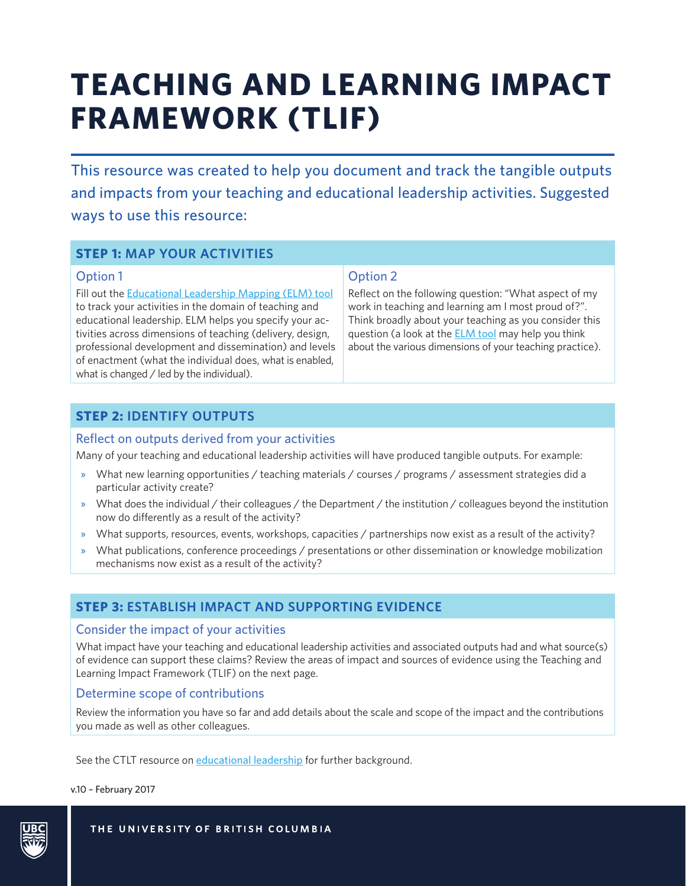# **TEACHING AND LEARNING IMPACT FRAMEWORK (TLIF)**

This resource was created to help you document and track the tangible outputs and impacts from your teaching and educational leadership activities. Suggested ways to use this resource:

## **STEP 1: MAP YOUR ACTIVITIES**

#### Option 1

Fill out the **[Educational Leadership Mapping \(ELM\) tool](http://ctlt.ubc.ca/programs/all-our-programs/teaching-and-educational-leadership/)** to track your activities in the domain of teaching and educational leadership. ELM helps you specify your activities across dimensions of teaching (delivery, design, professional development and dissemination) and levels of enactment (what the individual does, what is enabled, what is changed / led by the individual).

### Option 2

Reflect on the following question: "What aspect of my work in teaching and learning am I most proud of?". Think broadly about your teaching as you consider this question (a look at the [ELM t](http://ctlt.ubc.ca/programs/all-our-programs/teaching-and-educational-leadership/)ool may help you think about the various dimensions of your teaching practice).

## **STEP 2: IDENTIFY OUTPUTS**

#### Reflect on outputs derived from your activities

Many of your teaching and educational leadership activities will have produced tangible outputs. For example:

- » What new learning opportunities / teaching materials / courses / programs / assessment strategies did a particular activity create?
- » What does the individual / their colleagues / the Department / the institution / colleagues beyond the institution now do differently as a result of the activity?
- » What supports, resources, events, workshops, capacities / partnerships now exist as a result of the activity?
- » What publications, conference proceedings / presentations or other dissemination or knowledge mobilization mechanisms now exist as a result of the activity?

## **STEP 3: ESTABLISH IMPACT AND SUPPORTING EVIDENCE**

#### Consider the impact of your activities

What impact have your teaching and educational leadership activities and associated outputs had and what source(s) of evidence can support these claims? Review the areas of impact and sources of evidence using the Teaching and Learning Impact Framework (TLIF) on the next page.

#### Determine scope of contributions

Review the information you have so far and add details about the scale and scope of the impact and the contributions you made as well as other colleagues.

See the CTLT resource on [educational leadership](http://ctlt.ubc.ca/programs/all-our-programs/teaching-and-educational-leadership/) for further background.

v.10 – February 2017



THE UNIVERSITY OF BRITISH COLUMBIA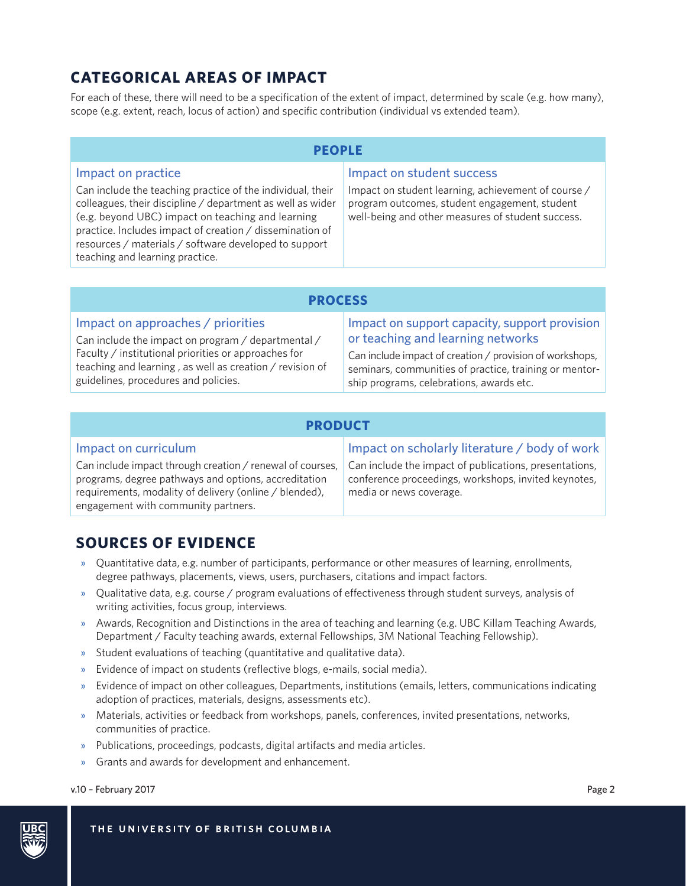## **CATEGORICAL AREAS OF IMPACT**

For each of these, there will need to be a specification of the extent of impact, determined by scale (e.g. how many), scope (e.g. extent, reach, locus of action) and specific contribution (individual vs extended team).

| PEOPLE                                                                                                                                                                                                                                                                                                                                                      |                                                                                                                                                                                        |  |  |  |
|-------------------------------------------------------------------------------------------------------------------------------------------------------------------------------------------------------------------------------------------------------------------------------------------------------------------------------------------------------------|----------------------------------------------------------------------------------------------------------------------------------------------------------------------------------------|--|--|--|
| Impact on practice<br>Can include the teaching practice of the individual, their<br>colleagues, their discipline / department as well as wider<br>(e.g. beyond UBC) impact on teaching and learning<br>practice. Includes impact of creation / dissemination of<br>resources / materials / software developed to support<br>teaching and learning practice. | Impact on student success<br>Impact on student learning, achievement of course /<br>program outcomes, student engagement, student<br>well-being and other measures of student success. |  |  |  |
|                                                                                                                                                                                                                                                                                                                                                             |                                                                                                                                                                                        |  |  |  |

| <b>PROCESS</b>                                           |                                                          |  |  |
|----------------------------------------------------------|----------------------------------------------------------|--|--|
| Impact on approaches / priorities                        | Impact on support capacity, support provision            |  |  |
| Can include the impact on program / departmental /       | or teaching and learning networks                        |  |  |
| Faculty / institutional priorities or approaches for     | Can include impact of creation / provision of workshops, |  |  |
| teaching and learning, as well as creation / revision of | seminars, communities of practice, training or mentor-   |  |  |
| guidelines, procedures and policies.                     | ship programs, celebrations, awards etc.                 |  |  |

| <b>PRODUCT</b>                                                                                                                                                                                                     |                                                                                                                                           |  |  |
|--------------------------------------------------------------------------------------------------------------------------------------------------------------------------------------------------------------------|-------------------------------------------------------------------------------------------------------------------------------------------|--|--|
| Impact on curriculum                                                                                                                                                                                               | Impact on scholarly literature / body of work                                                                                             |  |  |
| Can include impact through creation / renewal of courses,<br>programs, degree pathways and options, accreditation<br>requirements, modality of delivery (online / blended),<br>engagement with community partners. | Can include the impact of publications, presentations,<br>conference proceedings, workshops, invited keynotes,<br>media or news coverage. |  |  |

## **SOURCES OF EVIDENCE**

- » Quantitative data, e.g. number of participants, performance or other measures of learning, enrollments, degree pathways, placements, views, users, purchasers, citations and impact factors.
- » Qualitative data, e.g. course / program evaluations of effectiveness through student surveys, analysis of writing activities, focus group, interviews.
- » Awards, Recognition and Distinctions in the area of teaching and learning (e.g. UBC Killam Teaching Awards, Department / Faculty teaching awards, external Fellowships, 3M National Teaching Fellowship).
- » Student evaluations of teaching (quantitative and qualitative data).
- » Evidence of impact on students (reflective blogs, e-mails, social media).
- » Evidence of impact on other colleagues, Departments, institutions (emails, letters, communications indicating adoption of practices, materials, designs, assessments etc).
- » Materials, activities or feedback from workshops, panels, conferences, invited presentations, networks, communities of practice.
- » Publications, proceedings, podcasts, digital artifacts and media articles.
- » Grants and awards for development and enhancement.

v.10 – February 2017 Page 2

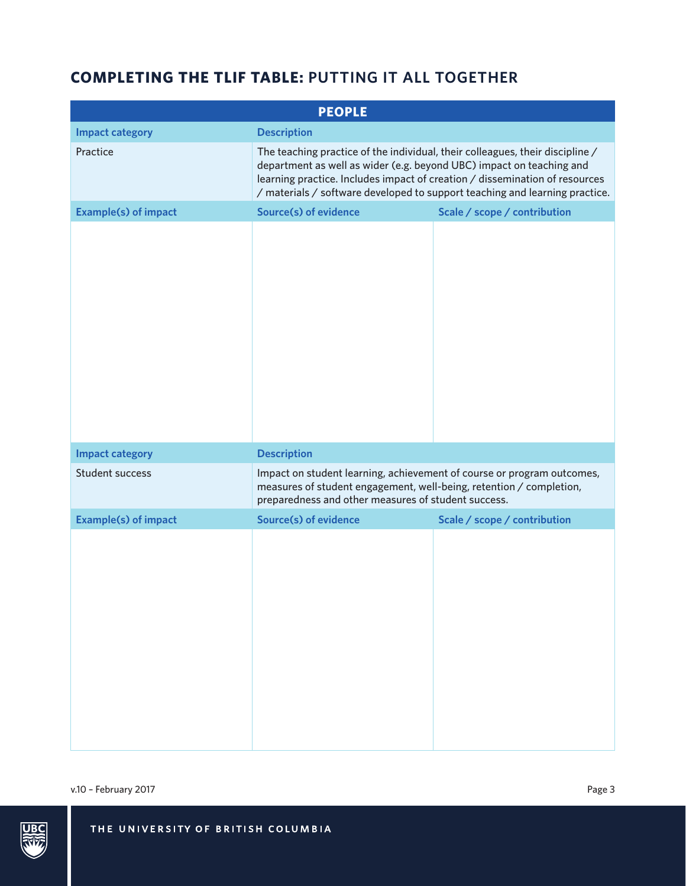# **COMPLETING THE TLIF TABLE: PUTTING IT ALL TOGETHER**

| <b>PEOPLE</b>               |                                                                                                                                                                                                                                                                                                                     |                              |  |  |
|-----------------------------|---------------------------------------------------------------------------------------------------------------------------------------------------------------------------------------------------------------------------------------------------------------------------------------------------------------------|------------------------------|--|--|
| <b>Impact category</b>      | <b>Description</b>                                                                                                                                                                                                                                                                                                  |                              |  |  |
| Practice                    | The teaching practice of the individual, their colleagues, their discipline /<br>department as well as wider (e.g. beyond UBC) impact on teaching and<br>learning practice. Includes impact of creation / dissemination of resources<br>/ materials / software developed to support teaching and learning practice. |                              |  |  |
| <b>Example(s) of impact</b> | <b>Source(s) of evidence</b>                                                                                                                                                                                                                                                                                        | Scale / scope / contribution |  |  |
|                             |                                                                                                                                                                                                                                                                                                                     |                              |  |  |
| <b>Impact category</b>      | <b>Description</b>                                                                                                                                                                                                                                                                                                  |                              |  |  |
| Student success             | Impact on student learning, achievement of course or program outcomes,<br>measures of student engagement, well-being, retention / completion,<br>preparedness and other measures of student success.                                                                                                                |                              |  |  |
| <b>Example(s) of impact</b> | <b>Source(s) of evidence</b>                                                                                                                                                                                                                                                                                        | Scale / scope / contribution |  |  |
|                             |                                                                                                                                                                                                                                                                                                                     |                              |  |  |

v.10 - February 2017 Page 3

THE UNIVERSITY OF BRITISH COLUMBIA

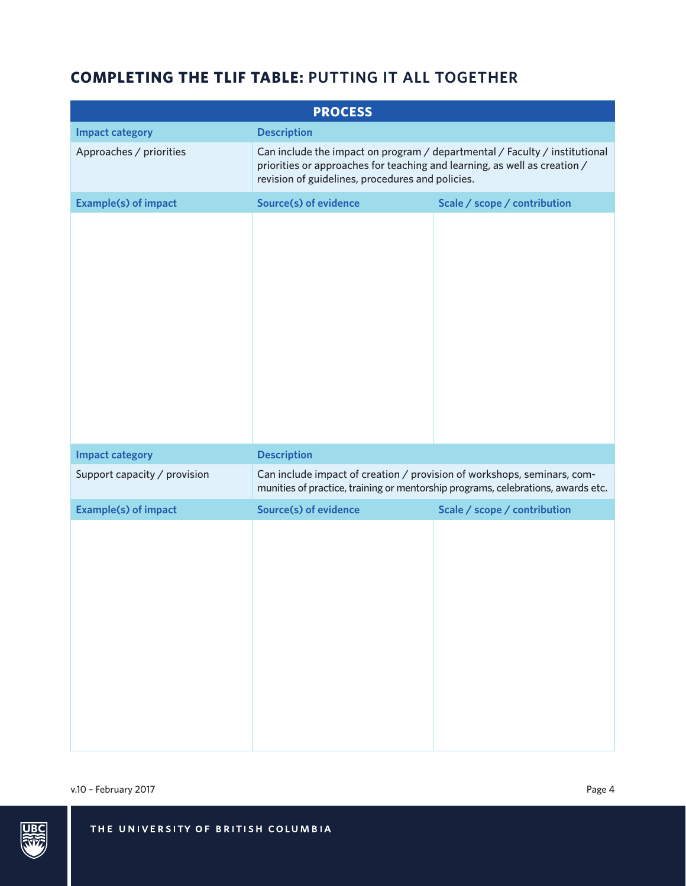# **COMPLETING THE TLIF TABLE: PUTTING IT ALL TOGETHER**

| <b>PROCESS</b>               |                                                                                                                                                                                                             |                              |  |  |
|------------------------------|-------------------------------------------------------------------------------------------------------------------------------------------------------------------------------------------------------------|------------------------------|--|--|
| <b>Impact category</b>       | <b>Description</b>                                                                                                                                                                                          |                              |  |  |
| Approaches / priorities      | Can include the impact on program / departmental / Faculty / institutional<br>priorities or approaches for teaching and learning, as well as creation /<br>revision of guidelines, procedures and policies. |                              |  |  |
| <b>Example(s) of impact</b>  | <b>Source(s) of evidence</b>                                                                                                                                                                                | Scale / scope / contribution |  |  |
|                              |                                                                                                                                                                                                             |                              |  |  |
| <b>Impact category</b>       | <b>Description</b>                                                                                                                                                                                          |                              |  |  |
| Support capacity / provision | Can include impact of creation / provision of workshops, seminars, com-<br>munities of practice, training or mentorship programs, celebrations, awards etc.                                                 |                              |  |  |
| <b>Example(s) of impact</b>  | <b>Source(s) of evidence</b>                                                                                                                                                                                | Scale / scope / contribution |  |  |
|                              |                                                                                                                                                                                                             |                              |  |  |

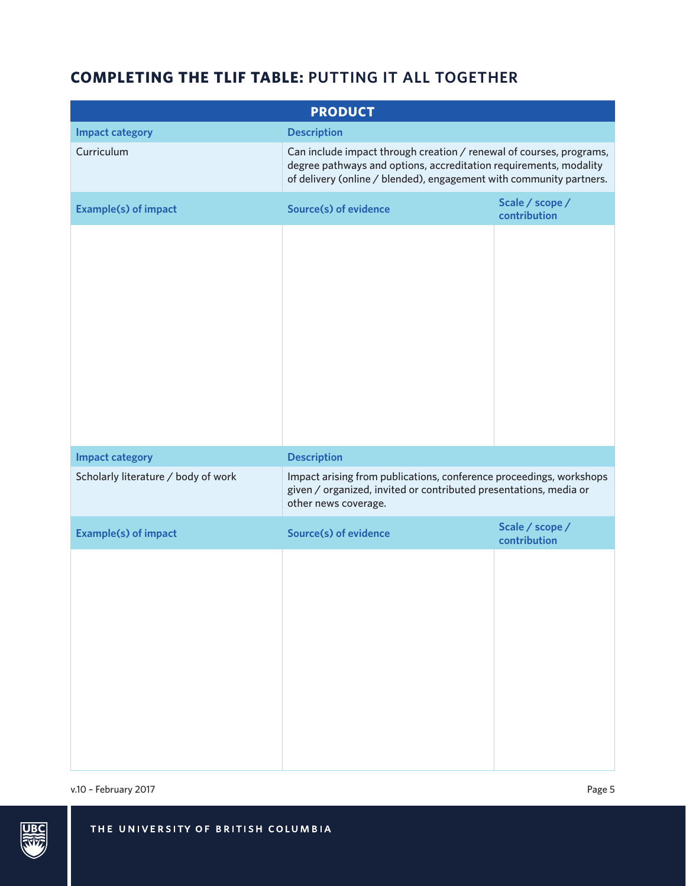# **COMPLETING THE TLIF TABLE: PUTTING IT ALL TOGETHER**

| <b>PRODUCT</b>                      |                                                                                                                                                                                                                 |                                 |  |  |
|-------------------------------------|-----------------------------------------------------------------------------------------------------------------------------------------------------------------------------------------------------------------|---------------------------------|--|--|
| <b>Impact category</b>              | <b>Description</b>                                                                                                                                                                                              |                                 |  |  |
| Curriculum                          | Can include impact through creation / renewal of courses, programs,<br>degree pathways and options, accreditation requirements, modality<br>of delivery (online / blended), engagement with community partners. |                                 |  |  |
| <b>Example(s) of impact</b>         | Source(s) of evidence                                                                                                                                                                                           | Scale / scope /<br>contribution |  |  |
|                                     |                                                                                                                                                                                                                 |                                 |  |  |
| <b>Impact category</b>              | <b>Description</b>                                                                                                                                                                                              |                                 |  |  |
| Scholarly literature / body of work | Impact arising from publications, conference proceedings, workshops<br>given / organized, invited or contributed presentations, media or<br>other news coverage.                                                |                                 |  |  |
| <b>Example(s) of impact</b>         | <b>Source(s) of evidence</b>                                                                                                                                                                                    | Scale / scope /<br>contribution |  |  |
|                                     |                                                                                                                                                                                                                 |                                 |  |  |

v.10 – February 2017 Page 5